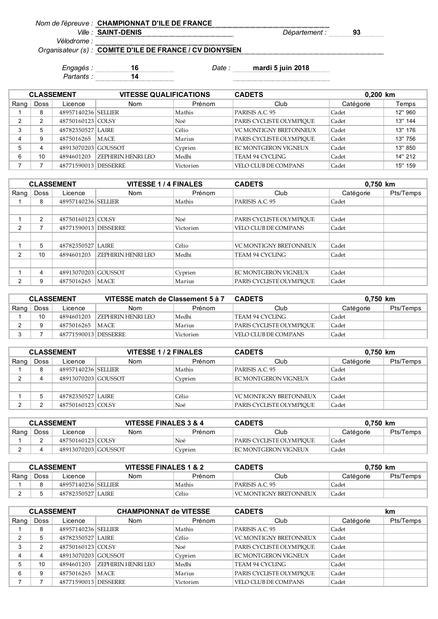*Nom de l'épreuve :* **CHAMPIONNAT D'ILE DE FRANCE**

*Ville : Département :* **93 SAINT-DENIS**

*Vélodrome : Organisateur (s) :*

**COMITE D'ILE DE FRANCE / CV DIONYSIEN**

*Partants :* **14**

*Engagés :* **16** *Date :* **mardi 5 juin 2018**

| <b>CLASSEMENT</b> |             |                      | <b>VITESSE QUALIFICATIONS</b> |           | <b>CADETS</b>                 | 0,200 km  |         |
|-------------------|-------------|----------------------|-------------------------------|-----------|-------------------------------|-----------|---------|
| Rang              | <b>Doss</b> | Licence              | <b>Nom</b>                    | Prénom    | Club                          | Catégorie | Temps   |
|                   | 8           | 48957140236 SELLIER  |                               | Mathis    | PARISIS A.C. 95               | Cadet     | 12" 960 |
| C                 | 2           | 48750160123 COLSY    |                               | Noé       | PARIS CYCLISTE OLYMPIOUE      | Cadet     | 13" 144 |
|                   | 5           | 48782350527 LAIRE    |                               | Célio     | <b>VC MONTIGNY BRETONNEUX</b> | Cadet     | 13" 176 |
|                   | 9           | 4875016265           | MACE                          | Marius    | PARIS CYCLISTE OLYMPIOUE      | Cadet     | 13" 756 |
|                   | 4           | 48913070203 GOUSSOT  |                               | Cyprien   | EC MONTGERON VIGNEUX          | Cadet     | 13" 850 |
| 6                 | 10          | 4894601203           | ZEPHIRIN HENRI LEO            | Medhi     | TEAM 94 CYCLING               | Cadet     | 14" 212 |
|                   |             | 48771590013 DESSERRE |                               | Victorien | VELO CLUB DE COMPANS          | Cadet     | 15" 159 |

|      | <b>CLASSEMENT</b> |                      | <b>VITESSE 1/4 FINALES</b> |           | <b>CADETS</b>            | 0,750 km  |           |
|------|-------------------|----------------------|----------------------------|-----------|--------------------------|-----------|-----------|
| Rang | Doss              | Licence              | <b>Nom</b>                 | Prénom    | Club                     | Catégorie | Pts/Temps |
|      | 8                 | 48957140236 SELLIER  |                            | Mathis    | PARISIS A.C. 95          | Cadet     |           |
|      |                   |                      |                            |           |                          |           |           |
|      | $\overline{2}$    | 48750160123 COLSY    |                            | Noé       | PARIS CYCLISTE OLYMPIOUE | Cadet     |           |
| 2    |                   | 48771590013 DESSERRE |                            | Victorien | VELO CLUB DE COMPANS     | Cadet     |           |
|      |                   |                      |                            |           |                          |           |           |
|      | 5                 | 48782350527 LAIRE    |                            | Célio     | VC MONTIGNY BRETONNEUX   | Cadet     |           |
| 2    | 10                | 4894601203           | I ZEPHIRIN HENRI LEO       | Medhi     | TEAM 94 CYCLING          | Cadet     |           |
|      |                   |                      |                            |           |                          |           |           |
|      | 4                 | 48913070203 GOUSSOT  |                            | Cyprien   | EC MONTGERON VIGNEUX     | Cadet     |           |
| ⌒    | 9                 | 4875016265           | MACE                       | Marius    | PARIS CYCLISTE OLYMPIOUE | Cadet     |           |

| <b>CLASSEMENT</b> |      |                        | VITESSE match de Classement 5 à 7 |           | <b>CADETS</b>            |           | 0.750 km  |
|-------------------|------|------------------------|-----------------------------------|-----------|--------------------------|-----------|-----------|
| Rang              | Doss | Licence                | <b>Nom</b>                        | Prénom    | Club                     | Catégorie | Pts/Temps |
|                   | 10   | 4894601203             | ZEPHIRIN HENRI LEO                | Medhi     | TEAM 94 CYCLING          | Cadet     |           |
|                   |      | 4875016265   MACE      |                                   | Marius    | PARIS CYCLISTE OLYMPIOUE | Cadet     |           |
|                   |      | 48771590013   DESSERRE |                                   | Victorien | VELO CLUB DE COMPANS     | Cadet     |           |

|      | <b>CLASSEMENT</b> |                     | <b>VITESSE 1/2 FINALES</b> |         | <b>CADETS</b><br>0,750 km     |           |           |
|------|-------------------|---------------------|----------------------------|---------|-------------------------------|-----------|-----------|
| Rang | <b>Doss</b>       | Licence             | <b>Nom</b>                 | Prénom  | Club                          | Catégorie | Pts/Temps |
|      | 8                 | 48957140236 SELLIER |                            | Mathis  | PARISIS A.C. 95               | Cadet     |           |
|      |                   | 48913070203 GOUSSOT |                            | Cyprien | EC MONTGERON VIGNEUX          | Cadet     |           |
|      |                   |                     |                            |         |                               |           |           |
|      | 5                 | 48782350527 LAIRE   |                            | Célio   | <b>VC MONTIGNY BRETONNEUX</b> | Cadet     |           |
|      |                   | 48750160123 COLSY   |                            | Noé     | PARIS CYCLISTE OLYMPIOUE      | Cadet     |           |

| <b>CLASSEMENT</b> |      | VITESSE FINALES 3 & 4 |     | <b>CADETS</b> | 0.750 km                 |           |           |
|-------------------|------|-----------------------|-----|---------------|--------------------------|-----------|-----------|
| Rang              | Doss | Licence               | Nom | Prénom        | Club                     | Catégorie | Pts/Temps |
|                   |      | 48750160123 COLSY     |     | Noé           | PARIS CYCLISTE OLYMPIOUE | Cadet     |           |
|                   | 4    | 48913070203 GOUSSOT   |     | Cyprien       | I FC MONTGERON VIGNEUX   | Cadet     |           |

| <b>CLASSEMENT</b> |      | VITESSE FINALES 1 & 2 |            | <b>CADETS</b> | 0.750 km                 |           |           |
|-------------------|------|-----------------------|------------|---------------|--------------------------|-----------|-----------|
| Rang              | Doss | Licence               | <b>Nom</b> | Prénom        | Club                     | Catégorie | Pts/Temps |
|                   |      | 48957140236 SELLER    |            | Mathis        | PARISIS A.C. 95          | Cadet     |           |
|                   |      | 48782350527 LAIRE     |            | Célio         | l VC MONTIGNY BRETONNEUX | Cadet     |           |

|      |      | <b>CLASSEMENT</b>    | <b>CHAMPIONNAT de VITESSE</b> |           | <b>CADETS</b>                 |           | km        |
|------|------|----------------------|-------------------------------|-----------|-------------------------------|-----------|-----------|
| Rang | Doss | Licence              | <b>Nom</b>                    | Prénom    | Club                          | Catégorie | Pts/Temps |
|      | 8    | 48957140236 SELLIER  |                               | Mathis    | PARISIS A.C. 95               | Cadet     |           |
| ◠    |      | 48782350527 LAIRE    |                               | Célio     | <b>VC MONTIGNY BRETONNEUX</b> | Cadet     |           |
| っ    |      | 48750160123 COLSY    |                               | Noé       | PARIS CYCLISTE OLYMPIOUE      | Cadet     |           |
| 4    |      | 48913070203 GOUSSOT  |                               | Cyprien   | EC MONTGERON VIGNEUX          | Cadet     |           |
| 5    | 10   | 4894601203           | <b>ZEPHIRIN HENRI LEO</b>     | Medhi     | TEAM 94 CYCLING               | Cadet     |           |
| 6    |      | 4875016265           | MACE                          | Marius    | PARIS CYCLISTE OLYMPIOUE      | Cadet     |           |
|      |      | 48771590013 DESSERRE |                               | Victorien | VELO CLUB DE COMPANS          | Cadet     |           |